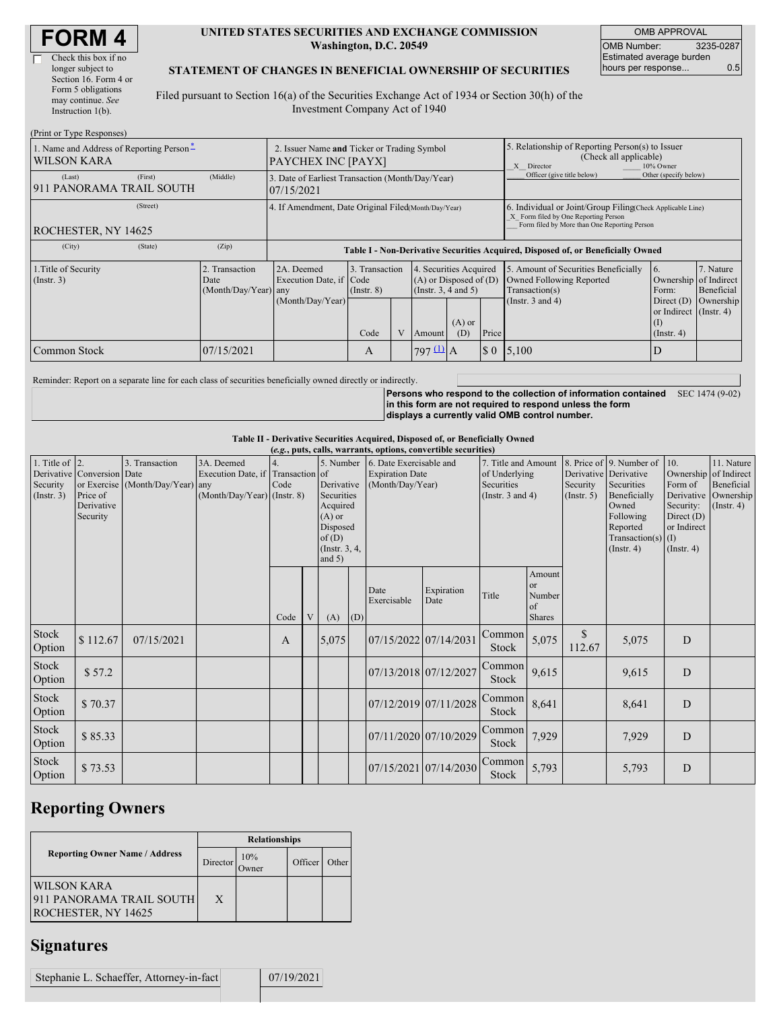| <b>FORM4</b> |
|--------------|
|--------------|

 $(D_{\text{min}} t_{\text{out}} T_{\text{S}})$ 

#### **UNITED STATES SECURITIES AND EXCHANGE COMMISSION Washington, D.C. 20549**

OMB APPROVAL OMB Number: 3235-0287 Estimated average burden hours per response... 0.5

#### **STATEMENT OF CHANGES IN BENEFICIAL OWNERSHIP OF SECURITIES**

Filed pursuant to Section 16(a) of the Securities Exchange Act of 1934 or Section 30(h) of the Investment Company Act of 1940

| $(1111110111)$ ype responses)<br>1. Name and Address of Reporting Person-<br><b>WILSON KARA</b> |                                                | 2. Issuer Name and Ticker or Trading Symbol<br><b>PAYCHEX INC [PAYX]</b>         |                                   |  |                                                                             |                 |          | 5. Relationship of Reporting Person(s) to Issuer<br>(Check all applicable)<br>X Director<br>10% Owner                                              |                                                                   |                         |  |
|-------------------------------------------------------------------------------------------------|------------------------------------------------|----------------------------------------------------------------------------------|-----------------------------------|--|-----------------------------------------------------------------------------|-----------------|----------|----------------------------------------------------------------------------------------------------------------------------------------------------|-------------------------------------------------------------------|-------------------------|--|
| (First)<br>(Last)<br>911 PANORAMA TRAIL SOUTH                                                   | (Middle)                                       | 3. Date of Earliest Transaction (Month/Day/Year)<br>07/15/2021                   |                                   |  |                                                                             |                 |          | Officer (give title below)                                                                                                                         | Other (specify below)                                             |                         |  |
| (Street)<br><b>ROCHESTER, NY 14625</b>                                                          |                                                | 4. If Amendment, Date Original Filed(Month/Day/Year)                             |                                   |  |                                                                             |                 |          | 6. Individual or Joint/Group Filing Check Applicable Line)<br>X Form filed by One Reporting Person<br>Form filed by More than One Reporting Person |                                                                   |                         |  |
| (City)<br>(State)                                                                               | (Zip)                                          | Table I - Non-Derivative Securities Acquired, Disposed of, or Beneficially Owned |                                   |  |                                                                             |                 |          |                                                                                                                                                    |                                                                   |                         |  |
| 1. Title of Security<br>$($ Instr. 3 $)$                                                        | 2. Transaction<br>Date<br>(Month/Day/Year) any | 2A. Deemed<br>Execution Date, if Code                                            | 3. Transaction<br>$($ Instr. $8)$ |  | 4. Securities Acquired<br>$(A)$ or Disposed of $(D)$<br>(Instr. 3, 4 and 5) |                 |          | 5. Amount of Securities Beneficially<br>Owned Following Reported<br>Transaction(s)                                                                 | 16.<br>Ownership of Indirect<br>Form:                             | 7. Nature<br>Beneficial |  |
|                                                                                                 |                                                | (Month/Day/Year)                                                                 | Code                              |  | Amount                                                                      | $(A)$ or<br>(D) | Price    | (Instr. $3$ and $4$ )                                                                                                                              | Direct $(D)$<br>or Indirect (Instr. 4)<br>(I)<br>$($ Instr. 4 $)$ | Ownership               |  |
| Common Stock                                                                                    | 07/15/2021                                     |                                                                                  | A                                 |  | $797 \underline{11}$ A                                                      |                 | $\Omega$ | 5,100                                                                                                                                              | D                                                                 |                         |  |

Reminder: Report on a separate line for each class of securities beneficially owned directly or indirectly.

**Persons who respond to the collection of information contained in this form are not required to respond unless the form displays a currently valid OMB control number.** SEC 1474 (9-02)

#### **Table II - Derivative Securities Acquired, Disposed of, or Beneficially Owned**

| 1. Title of 2.<br>8. Price of 9. Number of<br>3. Transaction<br>3A. Deemed<br>5. Number<br>6. Date Exercisable and<br>10.<br>7. Title and Amount<br>Derivative Conversion Date<br>Execution Date, if Transaction of<br>Derivative Derivative<br>Ownership of Indirect<br><b>Expiration Date</b><br>of Underlying<br>Security<br>or Exercise (Month/Day/Year) any<br>Derivative<br>Security<br>Form of<br>Code<br>(Month/Day/Year)<br>Securities<br>Securities<br>Price of<br>(Month/Day/Year) (Instr. 8)<br>Derivative Ownership<br>Securities<br>(Instr. $3$ and $4$ )<br>Beneficially<br>(Insert. 3)<br>(Insert, 5)<br>Derivative<br>Acquired<br>Owned<br>Security:<br>$($ Instr. 4 $)$<br>Security<br>$(A)$ or<br>Following<br>Direct $(D)$<br>or Indirect<br>Disposed<br>Reported<br>of(D)<br>Transaction(s) $(I)$<br>(Instr. 3, 4,<br>$($ Instr. 4 $)$<br>(Insert. 4)<br>and $5)$<br>Amount<br>or<br>Expiration<br>Date<br>Number<br>Title<br>Exercisable<br>Date<br>of<br><b>Shares</b><br>Code<br>V<br>(A)<br>(D)<br>Stock<br>$\mathbb{S}$<br>Common<br>\$112.67<br>07/15/2022 07/14/2031<br>5,075<br>D<br>5,075<br>07/15/2021<br>5,075<br>A<br>112.67<br>Option<br><b>Stock</b><br>Stock<br>Common<br>07/13/2018 07/12/2027<br>9,615<br>\$57.2<br>D<br>9,615<br>Option<br>Stock<br>Stock<br>Common<br>07/12/2019 07/11/2028<br>D<br>\$70.37<br>8,641<br>8,641<br>Option<br><b>Stock</b><br>Stock<br>Common | (e.g., puts, calls, warrants, options, convertible securities) |         |  |  |  |  |  |  |  |  |  |       |       |   |            |
|--------------------------------------------------------------------------------------------------------------------------------------------------------------------------------------------------------------------------------------------------------------------------------------------------------------------------------------------------------------------------------------------------------------------------------------------------------------------------------------------------------------------------------------------------------------------------------------------------------------------------------------------------------------------------------------------------------------------------------------------------------------------------------------------------------------------------------------------------------------------------------------------------------------------------------------------------------------------------------------------------------------------------------------------------------------------------------------------------------------------------------------------------------------------------------------------------------------------------------------------------------------------------------------------------------------------------------------------------------------------------------------------------------------------|----------------------------------------------------------------|---------|--|--|--|--|--|--|--|--|--|-------|-------|---|------------|
|                                                                                                                                                                                                                                                                                                                                                                                                                                                                                                                                                                                                                                                                                                                                                                                                                                                                                                                                                                                                                                                                                                                                                                                                                                                                                                                                                                                                                    |                                                                |         |  |  |  |  |  |  |  |  |  |       |       |   | 11. Nature |
|                                                                                                                                                                                                                                                                                                                                                                                                                                                                                                                                                                                                                                                                                                                                                                                                                                                                                                                                                                                                                                                                                                                                                                                                                                                                                                                                                                                                                    |                                                                |         |  |  |  |  |  |  |  |  |  |       |       |   |            |
|                                                                                                                                                                                                                                                                                                                                                                                                                                                                                                                                                                                                                                                                                                                                                                                                                                                                                                                                                                                                                                                                                                                                                                                                                                                                                                                                                                                                                    |                                                                |         |  |  |  |  |  |  |  |  |  |       |       |   | Beneficial |
|                                                                                                                                                                                                                                                                                                                                                                                                                                                                                                                                                                                                                                                                                                                                                                                                                                                                                                                                                                                                                                                                                                                                                                                                                                                                                                                                                                                                                    |                                                                |         |  |  |  |  |  |  |  |  |  |       |       |   |            |
|                                                                                                                                                                                                                                                                                                                                                                                                                                                                                                                                                                                                                                                                                                                                                                                                                                                                                                                                                                                                                                                                                                                                                                                                                                                                                                                                                                                                                    |                                                                |         |  |  |  |  |  |  |  |  |  |       |       |   |            |
|                                                                                                                                                                                                                                                                                                                                                                                                                                                                                                                                                                                                                                                                                                                                                                                                                                                                                                                                                                                                                                                                                                                                                                                                                                                                                                                                                                                                                    |                                                                |         |  |  |  |  |  |  |  |  |  |       |       |   |            |
|                                                                                                                                                                                                                                                                                                                                                                                                                                                                                                                                                                                                                                                                                                                                                                                                                                                                                                                                                                                                                                                                                                                                                                                                                                                                                                                                                                                                                    |                                                                |         |  |  |  |  |  |  |  |  |  |       |       |   |            |
|                                                                                                                                                                                                                                                                                                                                                                                                                                                                                                                                                                                                                                                                                                                                                                                                                                                                                                                                                                                                                                                                                                                                                                                                                                                                                                                                                                                                                    |                                                                |         |  |  |  |  |  |  |  |  |  |       |       |   |            |
|                                                                                                                                                                                                                                                                                                                                                                                                                                                                                                                                                                                                                                                                                                                                                                                                                                                                                                                                                                                                                                                                                                                                                                                                                                                                                                                                                                                                                    |                                                                |         |  |  |  |  |  |  |  |  |  |       |       |   |            |
|                                                                                                                                                                                                                                                                                                                                                                                                                                                                                                                                                                                                                                                                                                                                                                                                                                                                                                                                                                                                                                                                                                                                                                                                                                                                                                                                                                                                                    |                                                                |         |  |  |  |  |  |  |  |  |  |       |       |   |            |
|                                                                                                                                                                                                                                                                                                                                                                                                                                                                                                                                                                                                                                                                                                                                                                                                                                                                                                                                                                                                                                                                                                                                                                                                                                                                                                                                                                                                                    |                                                                |         |  |  |  |  |  |  |  |  |  |       |       |   |            |
|                                                                                                                                                                                                                                                                                                                                                                                                                                                                                                                                                                                                                                                                                                                                                                                                                                                                                                                                                                                                                                                                                                                                                                                                                                                                                                                                                                                                                    |                                                                |         |  |  |  |  |  |  |  |  |  |       |       |   |            |
|                                                                                                                                                                                                                                                                                                                                                                                                                                                                                                                                                                                                                                                                                                                                                                                                                                                                                                                                                                                                                                                                                                                                                                                                                                                                                                                                                                                                                    |                                                                |         |  |  |  |  |  |  |  |  |  |       |       |   |            |
|                                                                                                                                                                                                                                                                                                                                                                                                                                                                                                                                                                                                                                                                                                                                                                                                                                                                                                                                                                                                                                                                                                                                                                                                                                                                                                                                                                                                                    |                                                                |         |  |  |  |  |  |  |  |  |  |       |       |   |            |
|                                                                                                                                                                                                                                                                                                                                                                                                                                                                                                                                                                                                                                                                                                                                                                                                                                                                                                                                                                                                                                                                                                                                                                                                                                                                                                                                                                                                                    |                                                                |         |  |  |  |  |  |  |  |  |  |       |       |   |            |
|                                                                                                                                                                                                                                                                                                                                                                                                                                                                                                                                                                                                                                                                                                                                                                                                                                                                                                                                                                                                                                                                                                                                                                                                                                                                                                                                                                                                                    |                                                                |         |  |  |  |  |  |  |  |  |  |       |       |   |            |
|                                                                                                                                                                                                                                                                                                                                                                                                                                                                                                                                                                                                                                                                                                                                                                                                                                                                                                                                                                                                                                                                                                                                                                                                                                                                                                                                                                                                                    |                                                                |         |  |  |  |  |  |  |  |  |  |       |       |   |            |
|                                                                                                                                                                                                                                                                                                                                                                                                                                                                                                                                                                                                                                                                                                                                                                                                                                                                                                                                                                                                                                                                                                                                                                                                                                                                                                                                                                                                                    |                                                                |         |  |  |  |  |  |  |  |  |  |       |       |   |            |
|                                                                                                                                                                                                                                                                                                                                                                                                                                                                                                                                                                                                                                                                                                                                                                                                                                                                                                                                                                                                                                                                                                                                                                                                                                                                                                                                                                                                                    |                                                                |         |  |  |  |  |  |  |  |  |  |       |       |   |            |
|                                                                                                                                                                                                                                                                                                                                                                                                                                                                                                                                                                                                                                                                                                                                                                                                                                                                                                                                                                                                                                                                                                                                                                                                                                                                                                                                                                                                                    |                                                                |         |  |  |  |  |  |  |  |  |  |       |       |   |            |
| 07/11/2020 07/10/2029                                                                                                                                                                                                                                                                                                                                                                                                                                                                                                                                                                                                                                                                                                                                                                                                                                                                                                                                                                                                                                                                                                                                                                                                                                                                                                                                                                                              |                                                                | \$85.33 |  |  |  |  |  |  |  |  |  | 7,929 | 7,929 | D |            |
| Option<br>Stock                                                                                                                                                                                                                                                                                                                                                                                                                                                                                                                                                                                                                                                                                                                                                                                                                                                                                                                                                                                                                                                                                                                                                                                                                                                                                                                                                                                                    |                                                                |         |  |  |  |  |  |  |  |  |  |       |       |   |            |
| Stock<br>Common                                                                                                                                                                                                                                                                                                                                                                                                                                                                                                                                                                                                                                                                                                                                                                                                                                                                                                                                                                                                                                                                                                                                                                                                                                                                                                                                                                                                    |                                                                |         |  |  |  |  |  |  |  |  |  |       |       |   |            |
| \$73.53<br>07/15/2021 07/14/2030<br>5,793<br>$\mathbf D$<br>5,793<br>Option<br>Stock                                                                                                                                                                                                                                                                                                                                                                                                                                                                                                                                                                                                                                                                                                                                                                                                                                                                                                                                                                                                                                                                                                                                                                                                                                                                                                                               |                                                                |         |  |  |  |  |  |  |  |  |  |       |       |   |            |

## **Reporting Owners**

|                                                                              | <b>Relationships</b> |                     |         |       |  |  |  |
|------------------------------------------------------------------------------|----------------------|---------------------|---------|-------|--|--|--|
| <b>Reporting Owner Name / Address</b>                                        | Director             | 10%<br><b>Dwner</b> | Officer | Other |  |  |  |
| <b>WILSON KARA</b><br>911 PANORAMA TRAIL SOUTH<br><b>ROCHESTER, NY 14625</b> | X                    |                     |         |       |  |  |  |

### **Signatures**

| Stephanie L. Schaeffer, Attorney-in-fact | 07/19/2021 |
|------------------------------------------|------------|
|                                          |            |